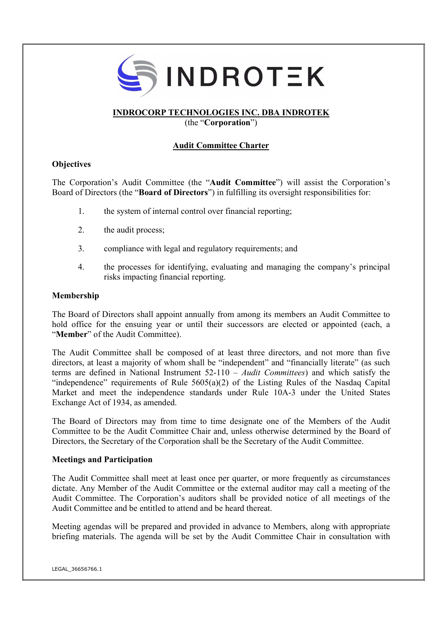

# INDROCORP TECHNOLOGIES INC. DBA INDROTEK

(the "Corporation")

# Audit Committee Charter

## **Objectives**

The Corporation's Audit Committee (the "Audit Committee") will assist the Corporation's Board of Directors (the "Board of Directors") in fulfilling its oversight responsibilities for:

- 1. the system of internal control over financial reporting;
- 2. the audit process;
- 3. compliance with legal and regulatory requirements; and
- 4. the processes for identifying, evaluating and managing the company's principal risks impacting financial reporting.

### Membership

The Board of Directors shall appoint annually from among its members an Audit Committee to hold office for the ensuing year or until their successors are elected or appointed (each, a "Member" of the Audit Committee).

The Audit Committee shall be composed of at least three directors, and not more than five directors, at least a majority of whom shall be "independent" and "financially literate" (as such terms are defined in National Instrument  $52-110 - \text{Audit}$  Committees) and which satisfy the "independence" requirements of Rule  $5605(a)(2)$  of the Listing Rules of the Nasdaq Capital Market and meet the independence standards under Rule 10A-3 under the United States Exchange Act of 1934, as amended.

The Board of Directors may from time to time designate one of the Members of the Audit Committee to be the Audit Committee Chair and, unless otherwise determined by the Board of Directors, the Secretary of the Corporation shall be the Secretary of the Audit Committee.

## Meetings and Participation

The Audit Committee shall meet at least once per quarter, or more frequently as circumstances dictate. Any Member of the Audit Committee or the external auditor may call a meeting of the Audit Committee. The Corporation's auditors shall be provided notice of all meetings of the Audit Committee and be entitled to attend and be heard thereat.

Meeting agendas will be prepared and provided in advance to Members, along with appropriate briefing materials. The agenda will be set by the Audit Committee Chair in consultation with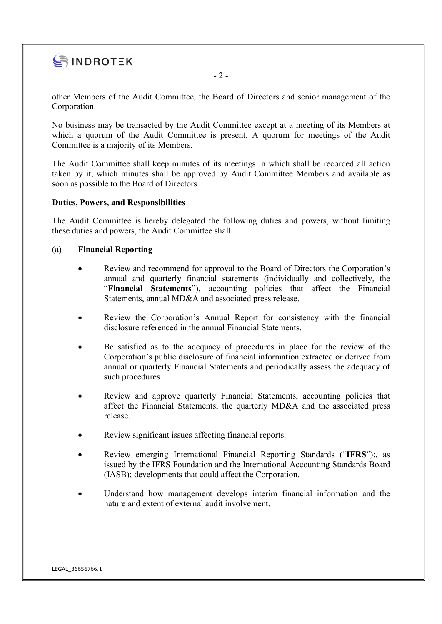

other Members of the Audit Committee, the Board of Directors and senior management of the Corporation.

No business may be transacted by the Audit Committee except at a meeting of its Members at which a quorum of the Audit Committee is present. A quorum for meetings of the Audit Committee is a majority of its Members.

The Audit Committee shall keep minutes of its meetings in which shall be recorded all action taken by it, which minutes shall be approved by Audit Committee Members and available as soon as possible to the Board of Directors.

### Duties, Powers, and Responsibilities

The Audit Committee is hereby delegated the following duties and powers, without limiting these duties and powers, the Audit Committee shall:

### (a) Financial Reporting

- Review and recommend for approval to the Board of Directors the Corporation's annual and quarterly financial statements (individually and collectively, the "Financial Statements"), accounting policies that affect the Financial Statements, annual MD&A and associated press release.
- Review the Corporation's Annual Report for consistency with the financial disclosure referenced in the annual Financial Statements.
- Be satisfied as to the adequacy of procedures in place for the review of the Corporation's public disclosure of financial information extracted or derived from annual or quarterly Financial Statements and periodically assess the adequacy of such procedures.
- Review and approve quarterly Financial Statements, accounting policies that affect the Financial Statements, the quarterly MD&A and the associated press release.
- Review significant issues affecting financial reports.
- Review emerging International Financial Reporting Standards ("IFRS");, as issued by the IFRS Foundation and the International Accounting Standards Board (IASB); developments that could affect the Corporation.
- Understand how management develops interim financial information and the nature and extent of external audit involvement.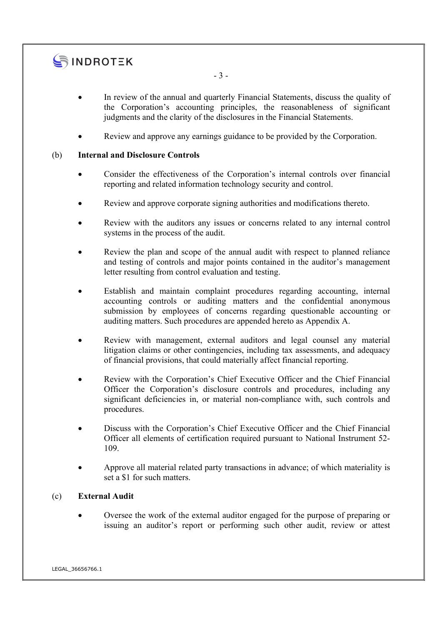# SINDROTEK

- In review of the annual and quarterly Financial Statements, discuss the quality of the Corporation's accounting principles, the reasonableness of significant judgments and the clarity of the disclosures in the Financial Statements.
- Review and approve any earnings guidance to be provided by the Corporation.

# (b) Internal and Disclosure Controls

- Consider the effectiveness of the Corporation's internal controls over financial reporting and related information technology security and control.
- Review and approve corporate signing authorities and modifications thereto.
- Review with the auditors any issues or concerns related to any internal control systems in the process of the audit.
- Review the plan and scope of the annual audit with respect to planned reliance and testing of controls and major points contained in the auditor's management letter resulting from control evaluation and testing.
- Establish and maintain complaint procedures regarding accounting, internal accounting controls or auditing matters and the confidential anonymous submission by employees of concerns regarding questionable accounting or auditing matters. Such procedures are appended hereto as Appendix A.
- Review with management, external auditors and legal counsel any material litigation claims or other contingencies, including tax assessments, and adequacy of financial provisions, that could materially affect financial reporting.
- Review with the Corporation's Chief Executive Officer and the Chief Financial Officer the Corporation's disclosure controls and procedures, including any significant deficiencies in, or material non-compliance with, such controls and procedures.
- Discuss with the Corporation's Chief Executive Officer and the Chief Financial Officer all elements of certification required pursuant to National Instrument 52- 109.
- Approve all material related party transactions in advance; of which materiality is set a \$1 for such matters.

# (c) External Audit

 Oversee the work of the external auditor engaged for the purpose of preparing or issuing an auditor's report or performing such other audit, review or attest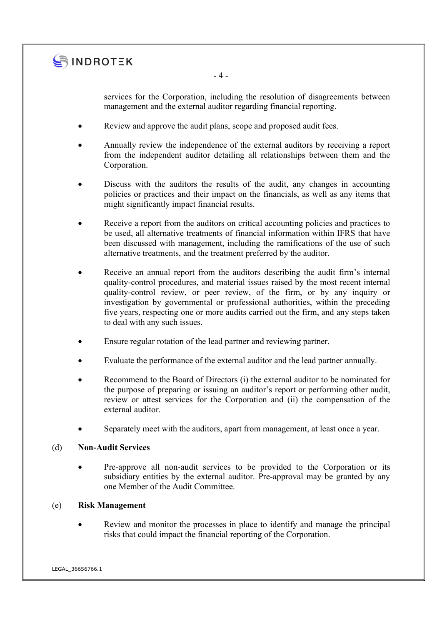

services for the Corporation, including the resolution of disagreements between

Review and approve the audit plans, scope and proposed audit fees.

- 4 -

management and the external auditor regarding financial reporting.

- Annually review the independence of the external auditors by receiving a report from the independent auditor detailing all relationships between them and the Corporation.
- Discuss with the auditors the results of the audit, any changes in accounting policies or practices and their impact on the financials, as well as any items that might significantly impact financial results.
- Receive a report from the auditors on critical accounting policies and practices to be used, all alternative treatments of financial information within IFRS that have been discussed with management, including the ramifications of the use of such alternative treatments, and the treatment preferred by the auditor.
- Receive an annual report from the auditors describing the audit firm's internal quality-control procedures, and material issues raised by the most recent internal quality-control review, or peer review, of the firm, or by any inquiry or investigation by governmental or professional authorities, within the preceding five years, respecting one or more audits carried out the firm, and any steps taken to deal with any such issues.
- Ensure regular rotation of the lead partner and reviewing partner.
- Evaluate the performance of the external auditor and the lead partner annually.
- Recommend to the Board of Directors (i) the external auditor to be nominated for the purpose of preparing or issuing an auditor's report or performing other audit, review or attest services for the Corporation and (ii) the compensation of the external auditor.
- Separately meet with the auditors, apart from management, at least once a year.

#### (d) Non-Audit Services

 Pre-approve all non-audit services to be provided to the Corporation or its subsidiary entities by the external auditor. Pre-approval may be granted by any one Member of the Audit Committee.

## (e) Risk Management

 Review and monitor the processes in place to identify and manage the principal risks that could impact the financial reporting of the Corporation.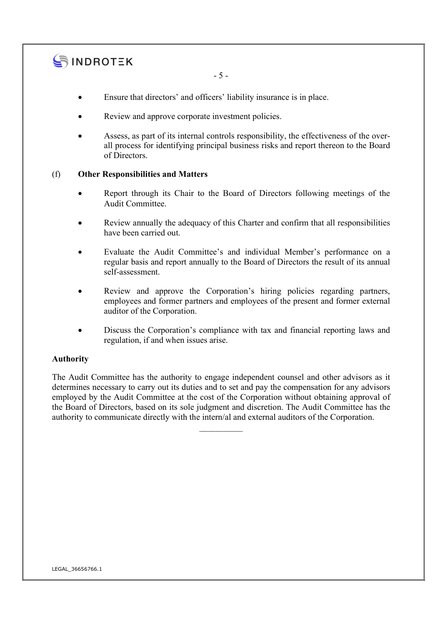

- 5 -

- Ensure that directors' and officers' liability insurance is in place.
- Review and approve corporate investment policies.
- Assess, as part of its internal controls responsibility, the effectiveness of the overall process for identifying principal business risks and report thereon to the Board of Directors.

## (f) Other Responsibilities and Matters

- Report through its Chair to the Board of Directors following meetings of the Audit Committee.
- Review annually the adequacy of this Charter and confirm that all responsibilities have been carried out.
- Evaluate the Audit Committee's and individual Member's performance on a regular basis and report annually to the Board of Directors the result of its annual self-assessment.
- Review and approve the Corporation's hiring policies regarding partners, employees and former partners and employees of the present and former external auditor of the Corporation.
- Discuss the Corporation's compliance with tax and financial reporting laws and regulation, if and when issues arise.

## Authority

The Audit Committee has the authority to engage independent counsel and other advisors as it determines necessary to carry out its duties and to set and pay the compensation for any advisors employed by the Audit Committee at the cost of the Corporation without obtaining approval of the Board of Directors, based on its sole judgment and discretion. The Audit Committee has the authority to communicate directly with the intern/al and external auditors of the Corporation.

 $\frac{1}{2}$